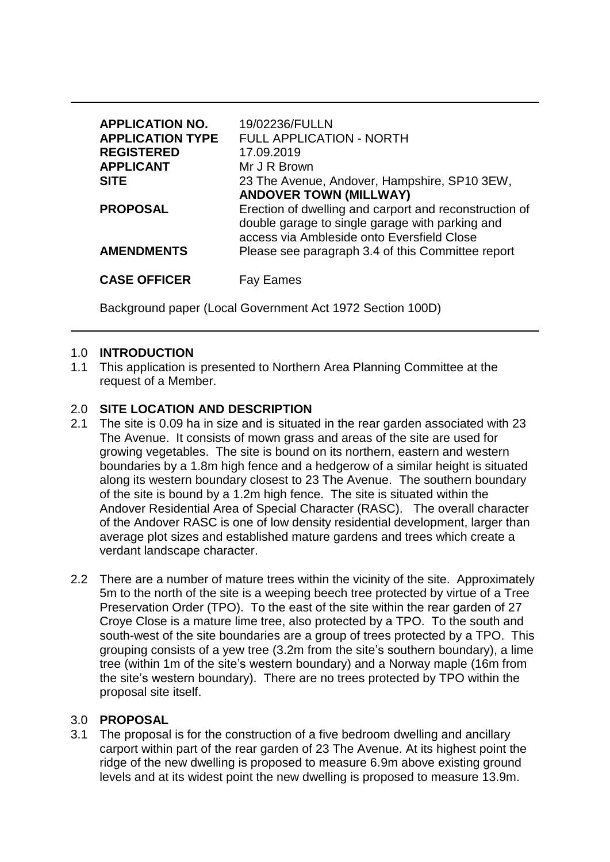| <b>APPLICATION NO.</b><br><b>APPLICATION TYPE</b><br><b>REGISTERED</b><br><b>APPLICANT</b> | 19/02236/FULLN<br><b>FULL APPLICATION - NORTH</b><br>17.09.2019<br>Mr J R Brown                                                                                                          |
|--------------------------------------------------------------------------------------------|------------------------------------------------------------------------------------------------------------------------------------------------------------------------------------------|
| <b>SITE</b>                                                                                | 23 The Avenue, Andover, Hampshire, SP10 3EW,                                                                                                                                             |
| <b>PROPOSAL</b>                                                                            | <b>ANDOVER TOWN (MILLWAY)</b><br>Erection of dwelling and carport and reconstruction of<br>double garage to single garage with parking and<br>access via Ambleside onto Eversfield Close |
| <b>AMENDMENTS</b>                                                                          | Please see paragraph 3.4 of this Committee report                                                                                                                                        |
| <b>CASE OFFICER</b>                                                                        | =ames                                                                                                                                                                                    |

Background paper (Local Government Act 1972 Section 100D)

### 1.0 **INTRODUCTION**

1.1 This application is presented to Northern Area Planning Committee at the request of a Member.

### 2.0 **SITE LOCATION AND DESCRIPTION**

- 2.1 The site is 0.09 ha in size and is situated in the rear garden associated with 23 The Avenue. It consists of mown grass and areas of the site are used for growing vegetables. The site is bound on its northern, eastern and western boundaries by a 1.8m high fence and a hedgerow of a similar height is situated along its western boundary closest to 23 The Avenue. The southern boundary of the site is bound by a 1.2m high fence. The site is situated within the Andover Residential Area of Special Character (RASC). The overall character of the Andover RASC is one of low density residential development, larger than average plot sizes and established mature gardens and trees which create a verdant landscape character.
- 2.2 There are a number of mature trees within the vicinity of the site. Approximately 5m to the north of the site is a weeping beech tree protected by virtue of a Tree Preservation Order (TPO). To the east of the site within the rear garden of 27 Croye Close is a mature lime tree, also protected by a TPO. To the south and south-west of the site boundaries are a group of trees protected by a TPO. This grouping consists of a yew tree (3.2m from the site's southern boundary), a lime tree (within 1m of the site's western boundary) and a Norway maple (16m from the site's western boundary). There are no trees protected by TPO within the proposal site itself.

#### 3.0 **PROPOSAL**

3.1 The proposal is for the construction of a five bedroom dwelling and ancillary carport within part of the rear garden of 23 The Avenue. At its highest point the ridge of the new dwelling is proposed to measure 6.9m above existing ground levels and at its widest point the new dwelling is proposed to measure 13.9m.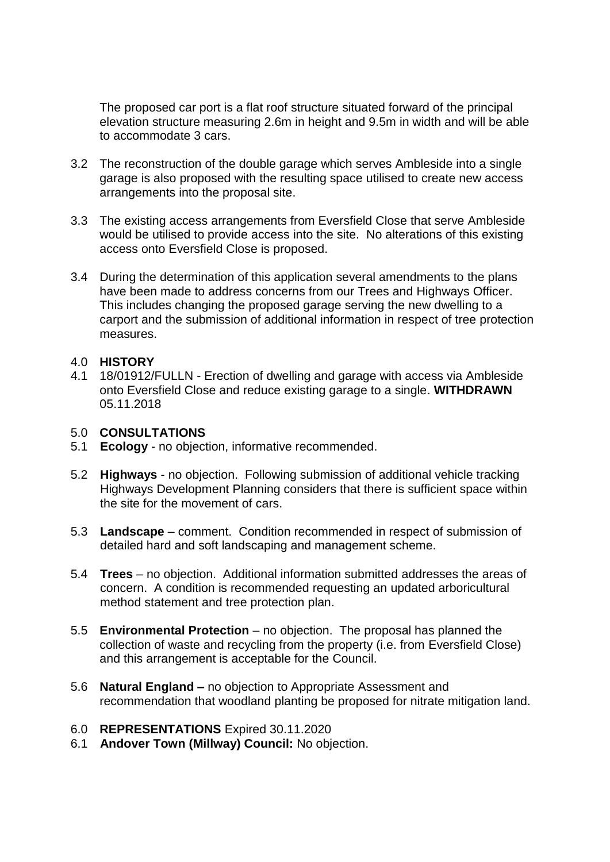The proposed car port is a flat roof structure situated forward of the principal elevation structure measuring 2.6m in height and 9.5m in width and will be able to accommodate 3 cars.

- 3.2 The reconstruction of the double garage which serves Ambleside into a single garage is also proposed with the resulting space utilised to create new access arrangements into the proposal site.
- 3.3 The existing access arrangements from Eversfield Close that serve Ambleside would be utilised to provide access into the site. No alterations of this existing access onto Eversfield Close is proposed.
- 3.4 During the determination of this application several amendments to the plans have been made to address concerns from our Trees and Highways Officer. This includes changing the proposed garage serving the new dwelling to a carport and the submission of additional information in respect of tree protection measures.

#### 4.0 **HISTORY**

4.1 18/01912/FULLN - Erection of dwelling and garage with access via Ambleside onto Eversfield Close and reduce existing garage to a single. **WITHDRAWN** 05.11.2018

### 5.0 **CONSULTATIONS**

- 5.1 **Ecology** no objection, informative recommended.
- 5.2 **Highways**  no objection. Following submission of additional vehicle tracking Highways Development Planning considers that there is sufficient space within the site for the movement of cars.
- 5.3 **Landscape** comment. Condition recommended in respect of submission of detailed hard and soft landscaping and management scheme.
- 5.4 **Trees** no objection. Additional information submitted addresses the areas of concern. A condition is recommended requesting an updated arboricultural method statement and tree protection plan.
- 5.5 **Environmental Protection**  no objection. The proposal has planned the collection of waste and recycling from the property (i.e. from Eversfield Close) and this arrangement is acceptable for the Council.
- 5.6 **Natural England –** no objection to Appropriate Assessment and recommendation that woodland planting be proposed for nitrate mitigation land.

### 6.0 **REPRESENTATIONS** Expired 30.11.2020

6.1 **Andover Town (Millway) Council:** No objection.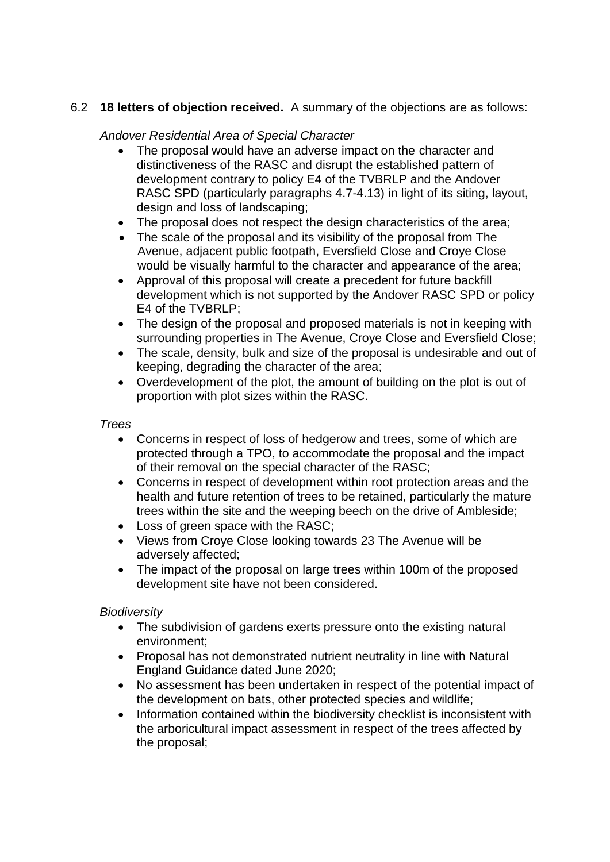# 6.2 **18 letters of objection received.** A summary of the objections are as follows:

# *Andover Residential Area of Special Character*

- The proposal would have an adverse impact on the character and distinctiveness of the RASC and disrupt the established pattern of development contrary to policy E4 of the TVBRLP and the Andover RASC SPD (particularly paragraphs 4.7-4.13) in light of its siting, layout, design and loss of landscaping;
- The proposal does not respect the design characteristics of the area;
- The scale of the proposal and its visibility of the proposal from The Avenue, adjacent public footpath, Eversfield Close and Croye Close would be visually harmful to the character and appearance of the area;
- Approval of this proposal will create a precedent for future backfill development which is not supported by the Andover RASC SPD or policy E4 of the TVBRLP;
- The design of the proposal and proposed materials is not in keeping with surrounding properties in The Avenue, Croye Close and Eversfield Close;
- The scale, density, bulk and size of the proposal is undesirable and out of keeping, degrading the character of the area;
- Overdevelopment of the plot, the amount of building on the plot is out of proportion with plot sizes within the RASC.

# *Trees*

- Concerns in respect of loss of hedgerow and trees, some of which are protected through a TPO, to accommodate the proposal and the impact of their removal on the special character of the RASC;
- Concerns in respect of development within root protection areas and the health and future retention of trees to be retained, particularly the mature trees within the site and the weeping beech on the drive of Ambleside;
- Loss of green space with the RASC:
- Views from Croye Close looking towards 23 The Avenue will be adversely affected;
- The impact of the proposal on large trees within 100m of the proposed development site have not been considered.

# *Biodiversity*

- The subdivision of gardens exerts pressure onto the existing natural environment;
- Proposal has not demonstrated nutrient neutrality in line with Natural England Guidance dated June 2020;
- No assessment has been undertaken in respect of the potential impact of the development on bats, other protected species and wildlife;
- Information contained within the biodiversity checklist is inconsistent with the arboricultural impact assessment in respect of the trees affected by the proposal;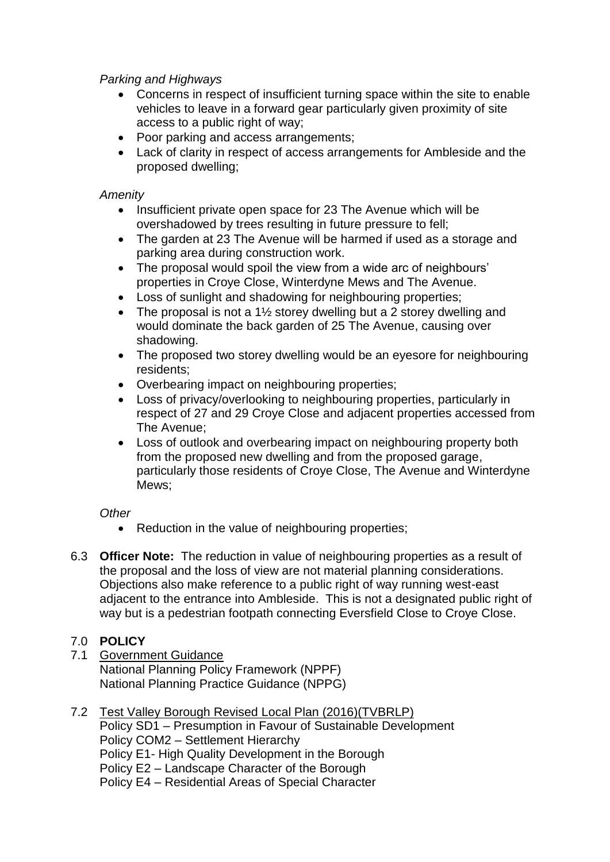## *Parking and Highways*

- Concerns in respect of insufficient turning space within the site to enable vehicles to leave in a forward gear particularly given proximity of site access to a public right of way;
- Poor parking and access arrangements;
- Lack of clarity in respect of access arrangements for Ambleside and the proposed dwelling;

### *Amenity*

- Insufficient private open space for 23 The Avenue which will be overshadowed by trees resulting in future pressure to fell;
- The garden at 23 The Avenue will be harmed if used as a storage and parking area during construction work.
- The proposal would spoil the view from a wide arc of neighbours' properties in Croye Close, Winterdyne Mews and The Avenue.
- Loss of sunlight and shadowing for neighbouring properties;
- The proposal is not a  $1\frac{1}{2}$  storey dwelling but a 2 storey dwelling and would dominate the back garden of 25 The Avenue, causing over shadowing.
- The proposed two storey dwelling would be an evesore for neighbouring residents;
- Overbearing impact on neighbouring properties;
- Loss of privacy/overlooking to neighbouring properties, particularly in respect of 27 and 29 Croye Close and adjacent properties accessed from The Avenue;
- Loss of outlook and overbearing impact on neighbouring property both from the proposed new dwelling and from the proposed garage, particularly those residents of Croye Close, The Avenue and Winterdyne Mews:

### *Other*

- Reduction in the value of neighbouring properties;
- 6.3 **Officer Note:** The reduction in value of neighbouring properties as a result of the proposal and the loss of view are not material planning considerations. Objections also make reference to a public right of way running west-east adjacent to the entrance into Ambleside. This is not a designated public right of way but is a pedestrian footpath connecting Eversfield Close to Croye Close.

# 7.0 **POLICY**

- 7.1 Government Guidance National Planning Policy Framework (NPPF) National Planning Practice Guidance (NPPG)
- 7.2 Test Valley Borough Revised Local Plan (2016)(TVBRLP) Policy SD1 – Presumption in Favour of Sustainable Development Policy COM2 – Settlement Hierarchy Policy E1- High Quality Development in the Borough Policy E2 – Landscape Character of the Borough Policy E4 – Residential Areas of Special Character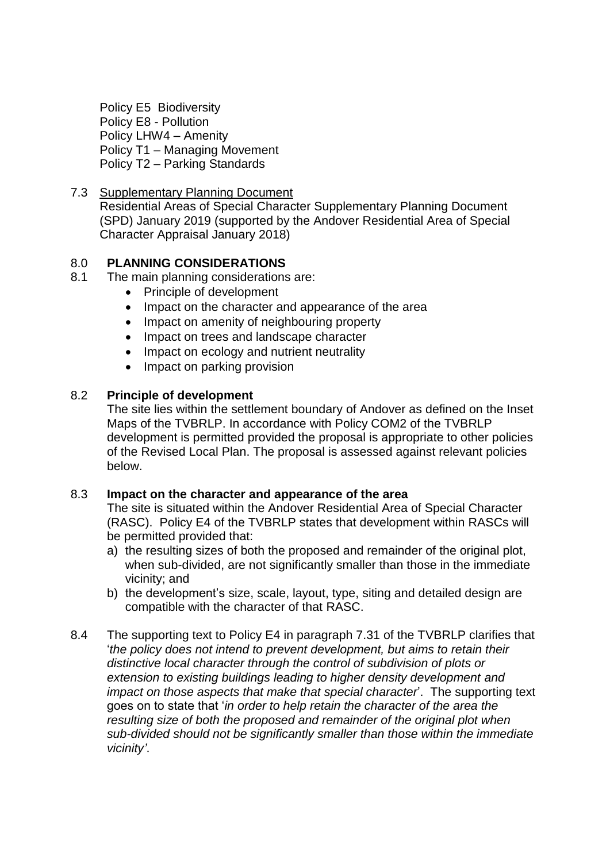Policy E5 Biodiversity Policy E8 - Pollution Policy LHW4 – Amenity Policy T1 – Managing Movement Policy T2 – Parking Standards

7.3 Supplementary Planning Document Residential Areas of Special Character Supplementary Planning Document (SPD) January 2019 (supported by the Andover Residential Area of Special Character Appraisal January 2018)

## 8.0 **PLANNING CONSIDERATIONS**

- 8.1 The main planning considerations are:
	- Principle of development
	- Impact on the character and appearance of the area
	- Impact on amenity of neighbouring property
	- Impact on trees and landscape character
	- Impact on ecology and nutrient neutrality
	- Impact on parking provision

#### 8.2 **Principle of development**

The site lies within the settlement boundary of Andover as defined on the Inset Maps of the TVBRLP. In accordance with Policy COM2 of the TVBRLP development is permitted provided the proposal is appropriate to other policies of the Revised Local Plan. The proposal is assessed against relevant policies below.

#### 8.3 **Impact on the character and appearance of the area**

The site is situated within the Andover Residential Area of Special Character (RASC). Policy E4 of the TVBRLP states that development within RASCs will be permitted provided that:

- a) the resulting sizes of both the proposed and remainder of the original plot, when sub-divided, are not significantly smaller than those in the immediate vicinity; and
- b) the development's size, scale, layout, type, siting and detailed design are compatible with the character of that RASC.
- 8.4 The supporting text to Policy E4 in paragraph 7.31 of the TVBRLP clarifies that '*the policy does not intend to prevent development, but aims to retain their distinctive local character through the control of subdivision of plots or extension to existing buildings leading to higher density development and impact on those aspects that make that special character*'. The supporting text goes on to state that '*in order to help retain the character of the area the resulting size of both the proposed and remainder of the original plot when sub-divided should not be significantly smaller than those within the immediate vicinity'*.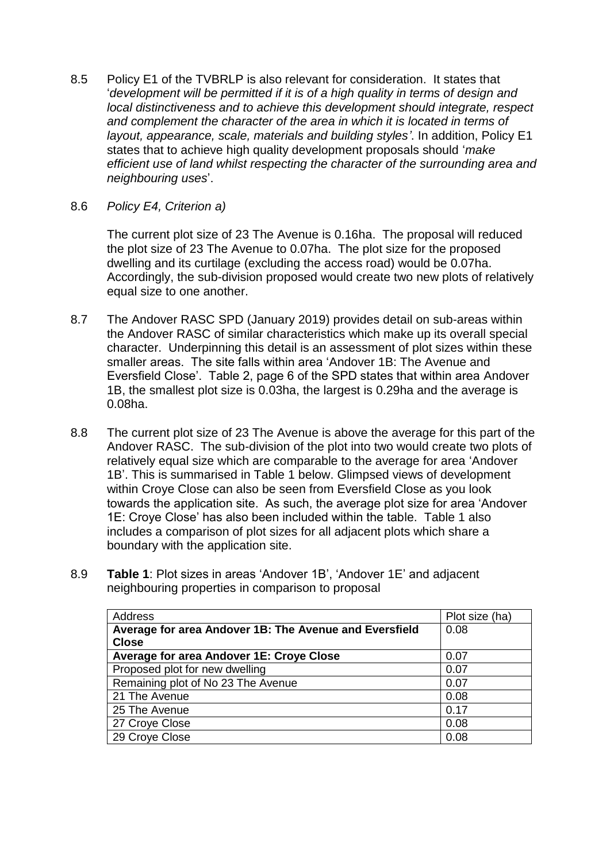- 8.5 Policy E1 of the TVBRLP is also relevant for consideration. It states that '*development will be permitted if it is of a high quality in terms of design and local distinctiveness and to achieve this development should integrate, respect and complement the character of the area in which it is located in terms of layout, appearance, scale, materials and building styles'*. In addition, Policy E1 states that to achieve high quality development proposals should '*make efficient use of land whilst respecting the character of the surrounding area and neighbouring uses*'.
- 8.6 *Policy E4, Criterion a)*

The current plot size of 23 The Avenue is 0.16ha. The proposal will reduced the plot size of 23 The Avenue to 0.07ha. The plot size for the proposed dwelling and its curtilage (excluding the access road) would be 0.07ha. Accordingly, the sub-division proposed would create two new plots of relatively equal size to one another.

- 8.7 The Andover RASC SPD (January 2019) provides detail on sub-areas within the Andover RASC of similar characteristics which make up its overall special character. Underpinning this detail is an assessment of plot sizes within these smaller areas. The site falls within area 'Andover 1B: The Avenue and Eversfield Close'. Table 2, page 6 of the SPD states that within area Andover 1B, the smallest plot size is 0.03ha, the largest is 0.29ha and the average is 0.08ha.
- 8.8 The current plot size of 23 The Avenue is above the average for this part of the Andover RASC. The sub-division of the plot into two would create two plots of relatively equal size which are comparable to the average for area 'Andover 1B'. This is summarised in Table 1 below. Glimpsed views of development within Croye Close can also be seen from Eversfield Close as you look towards the application site. As such, the average plot size for area 'Andover 1E: Croye Close' has also been included within the table. Table 1 also includes a comparison of plot sizes for all adjacent plots which share a boundary with the application site.
- 8.9 **Table 1**: Plot sizes in areas 'Andover 1B', 'Andover 1E' and adjacent neighbouring properties in comparison to proposal

| Address                                                | Plot size (ha) |
|--------------------------------------------------------|----------------|
| Average for area Andover 1B: The Avenue and Eversfield | 0.08           |
| <b>Close</b>                                           |                |
| Average for area Andover 1E: Croye Close               | 0.07           |
| Proposed plot for new dwelling                         | 0.07           |
| Remaining plot of No 23 The Avenue                     | 0.07           |
| 21 The Avenue                                          | 0.08           |
| 25 The Avenue                                          | 0.17           |
| 27 Croye Close                                         | 0.08           |
| 29 Croye Close                                         | 0.08           |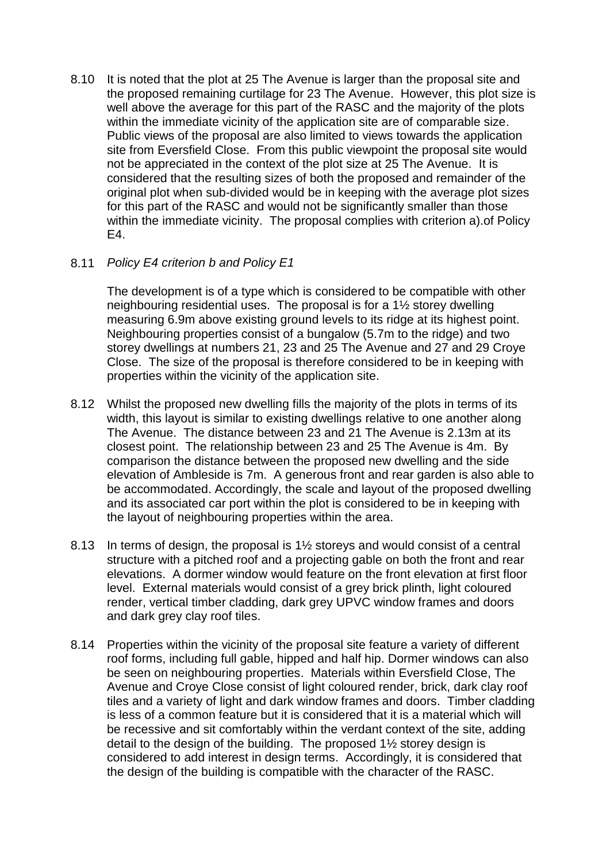8.10 It is noted that the plot at 25 The Avenue is larger than the proposal site and the proposed remaining curtilage for 23 The Avenue. However, this plot size is well above the average for this part of the RASC and the majority of the plots within the immediate vicinity of the application site are of comparable size. Public views of the proposal are also limited to views towards the application site from Eversfield Close. From this public viewpoint the proposal site would not be appreciated in the context of the plot size at 25 The Avenue. It is considered that the resulting sizes of both the proposed and remainder of the original plot when sub-divided would be in keeping with the average plot sizes for this part of the RASC and would not be significantly smaller than those within the immediate vicinity. The proposal complies with criterion a).of Policy E4.

### 8.11 *Policy E4 criterion b and Policy E1*

The development is of a type which is considered to be compatible with other neighbouring residential uses. The proposal is for a 1½ storey dwelling measuring 6.9m above existing ground levels to its ridge at its highest point. Neighbouring properties consist of a bungalow (5.7m to the ridge) and two storey dwellings at numbers 21, 23 and 25 The Avenue and 27 and 29 Croye Close. The size of the proposal is therefore considered to be in keeping with properties within the vicinity of the application site.

- 8.12 Whilst the proposed new dwelling fills the majority of the plots in terms of its width, this layout is similar to existing dwellings relative to one another along The Avenue. The distance between 23 and 21 The Avenue is 2.13m at its closest point. The relationship between 23 and 25 The Avenue is 4m. By comparison the distance between the proposed new dwelling and the side elevation of Ambleside is 7m. A generous front and rear garden is also able to be accommodated. Accordingly, the scale and layout of the proposed dwelling and its associated car port within the plot is considered to be in keeping with the layout of neighbouring properties within the area.
- 8.13 In terms of design, the proposal is 1½ storeys and would consist of a central structure with a pitched roof and a projecting gable on both the front and rear elevations. A dormer window would feature on the front elevation at first floor level. External materials would consist of a grey brick plinth, light coloured render, vertical timber cladding, dark grey UPVC window frames and doors and dark grey clay roof tiles.
- 8.14 Properties within the vicinity of the proposal site feature a variety of different roof forms, including full gable, hipped and half hip. Dormer windows can also be seen on neighbouring properties. Materials within Eversfield Close, The Avenue and Croye Close consist of light coloured render, brick, dark clay roof tiles and a variety of light and dark window frames and doors. Timber cladding is less of a common feature but it is considered that it is a material which will be recessive and sit comfortably within the verdant context of the site, adding detail to the design of the building. The proposed 1½ storey design is considered to add interest in design terms. Accordingly, it is considered that the design of the building is compatible with the character of the RASC.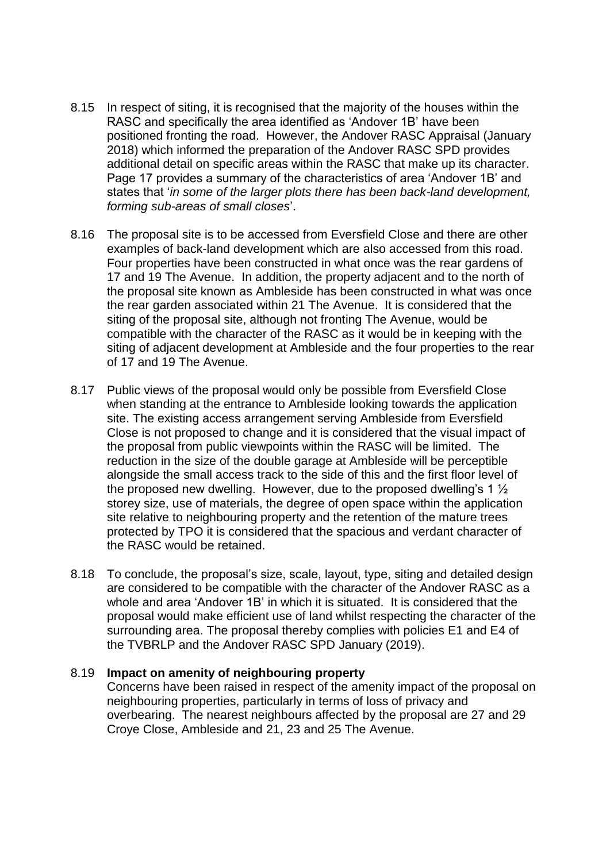- 8.15 In respect of siting, it is recognised that the majority of the houses within the RASC and specifically the area identified as 'Andover 1B' have been positioned fronting the road. However, the Andover RASC Appraisal (January 2018) which informed the preparation of the Andover RASC SPD provides additional detail on specific areas within the RASC that make up its character. Page 17 provides a summary of the characteristics of area 'Andover 1B' and states that '*in some of the larger plots there has been back-land development, forming sub-areas of small closes*'.
- 8.16 The proposal site is to be accessed from Eversfield Close and there are other examples of back-land development which are also accessed from this road. Four properties have been constructed in what once was the rear gardens of 17 and 19 The Avenue. In addition, the property adjacent and to the north of the proposal site known as Ambleside has been constructed in what was once the rear garden associated within 21 The Avenue. It is considered that the siting of the proposal site, although not fronting The Avenue, would be compatible with the character of the RASC as it would be in keeping with the siting of adjacent development at Ambleside and the four properties to the rear of 17 and 19 The Avenue.
- 8.17 Public views of the proposal would only be possible from Eversfield Close when standing at the entrance to Ambleside looking towards the application site. The existing access arrangement serving Ambleside from Eversfield Close is not proposed to change and it is considered that the visual impact of the proposal from public viewpoints within the RASC will be limited. The reduction in the size of the double garage at Ambleside will be perceptible alongside the small access track to the side of this and the first floor level of the proposed new dwelling. However, due to the proposed dwelling's 1  $\frac{1}{2}$ storey size, use of materials, the degree of open space within the application site relative to neighbouring property and the retention of the mature trees protected by TPO it is considered that the spacious and verdant character of the RASC would be retained.
- 8.18 To conclude, the proposal's size, scale, layout, type, siting and detailed design are considered to be compatible with the character of the Andover RASC as a whole and area 'Andover 1B' in which it is situated. It is considered that the proposal would make efficient use of land whilst respecting the character of the surrounding area. The proposal thereby complies with policies E1 and E4 of the TVBRLP and the Andover RASC SPD January (2019).

#### 8.19 **Impact on amenity of neighbouring property**

Concerns have been raised in respect of the amenity impact of the proposal on neighbouring properties, particularly in terms of loss of privacy and overbearing. The nearest neighbours affected by the proposal are 27 and 29 Croye Close, Ambleside and 21, 23 and 25 The Avenue.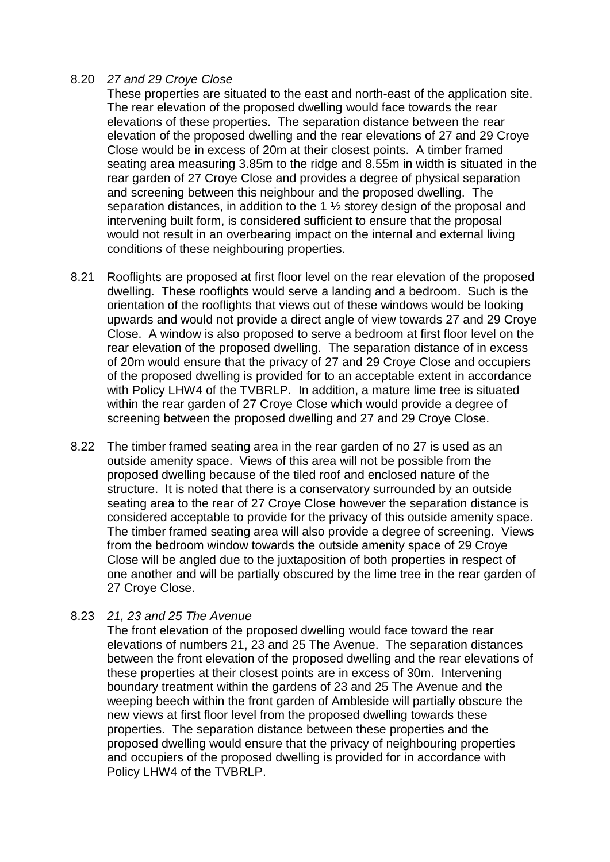### 8.20 *27 and 29 Croye Close*

These properties are situated to the east and north-east of the application site. The rear elevation of the proposed dwelling would face towards the rear elevations of these properties. The separation distance between the rear elevation of the proposed dwelling and the rear elevations of 27 and 29 Croye Close would be in excess of 20m at their closest points. A timber framed seating area measuring 3.85m to the ridge and 8.55m in width is situated in the rear garden of 27 Croye Close and provides a degree of physical separation and screening between this neighbour and the proposed dwelling. The separation distances, in addition to the 1 ½ storey design of the proposal and intervening built form, is considered sufficient to ensure that the proposal would not result in an overbearing impact on the internal and external living conditions of these neighbouring properties.

- 8.21 Rooflights are proposed at first floor level on the rear elevation of the proposed dwelling. These rooflights would serve a landing and a bedroom. Such is the orientation of the rooflights that views out of these windows would be looking upwards and would not provide a direct angle of view towards 27 and 29 Croye Close. A window is also proposed to serve a bedroom at first floor level on the rear elevation of the proposed dwelling. The separation distance of in excess of 20m would ensure that the privacy of 27 and 29 Croye Close and occupiers of the proposed dwelling is provided for to an acceptable extent in accordance with Policy LHW4 of the TVBRLP. In addition, a mature lime tree is situated within the rear garden of 27 Crove Close which would provide a degree of screening between the proposed dwelling and 27 and 29 Croye Close.
- 8.22 The timber framed seating area in the rear garden of no 27 is used as an outside amenity space. Views of this area will not be possible from the proposed dwelling because of the tiled roof and enclosed nature of the structure. It is noted that there is a conservatory surrounded by an outside seating area to the rear of 27 Croye Close however the separation distance is considered acceptable to provide for the privacy of this outside amenity space. The timber framed seating area will also provide a degree of screening. Views from the bedroom window towards the outside amenity space of 29 Croye Close will be angled due to the juxtaposition of both properties in respect of one another and will be partially obscured by the lime tree in the rear garden of 27 Croye Close.

### 8.23 *21, 23 and 25 The Avenue*

The front elevation of the proposed dwelling would face toward the rear elevations of numbers 21, 23 and 25 The Avenue. The separation distances between the front elevation of the proposed dwelling and the rear elevations of these properties at their closest points are in excess of 30m. Intervening boundary treatment within the gardens of 23 and 25 The Avenue and the weeping beech within the front garden of Ambleside will partially obscure the new views at first floor level from the proposed dwelling towards these properties. The separation distance between these properties and the proposed dwelling would ensure that the privacy of neighbouring properties and occupiers of the proposed dwelling is provided for in accordance with Policy LHW4 of the TVBRLP.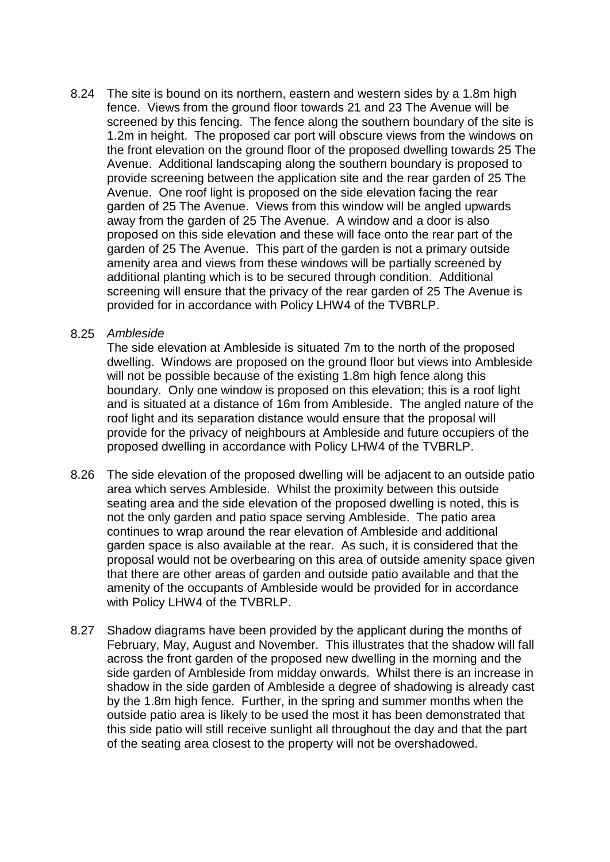8.24 The site is bound on its northern, eastern and western sides by a 1.8m high fence. Views from the ground floor towards 21 and 23 The Avenue will be screened by this fencing. The fence along the southern boundary of the site is 1.2m in height. The proposed car port will obscure views from the windows on the front elevation on the ground floor of the proposed dwelling towards 25 The Avenue. Additional landscaping along the southern boundary is proposed to provide screening between the application site and the rear garden of 25 The Avenue. One roof light is proposed on the side elevation facing the rear garden of 25 The Avenue. Views from this window will be angled upwards away from the garden of 25 The Avenue. A window and a door is also proposed on this side elevation and these will face onto the rear part of the garden of 25 The Avenue. This part of the garden is not a primary outside amenity area and views from these windows will be partially screened by additional planting which is to be secured through condition. Additional screening will ensure that the privacy of the rear garden of 25 The Avenue is provided for in accordance with Policy LHW4 of the TVBRLP.

#### 8.25 *Ambleside*

The side elevation at Ambleside is situated 7m to the north of the proposed dwelling. Windows are proposed on the ground floor but views into Ambleside will not be possible because of the existing 1.8m high fence along this boundary. Only one window is proposed on this elevation; this is a roof light and is situated at a distance of 16m from Ambleside. The angled nature of the roof light and its separation distance would ensure that the proposal will provide for the privacy of neighbours at Ambleside and future occupiers of the proposed dwelling in accordance with Policy LHW4 of the TVBRLP.

- 8.26 The side elevation of the proposed dwelling will be adjacent to an outside patio area which serves Ambleside. Whilst the proximity between this outside seating area and the side elevation of the proposed dwelling is noted, this is not the only garden and patio space serving Ambleside. The patio area continues to wrap around the rear elevation of Ambleside and additional garden space is also available at the rear. As such, it is considered that the proposal would not be overbearing on this area of outside amenity space given that there are other areas of garden and outside patio available and that the amenity of the occupants of Ambleside would be provided for in accordance with Policy LHW4 of the TVBRLP.
- 8.27 Shadow diagrams have been provided by the applicant during the months of February, May, August and November. This illustrates that the shadow will fall across the front garden of the proposed new dwelling in the morning and the side garden of Ambleside from midday onwards. Whilst there is an increase in shadow in the side garden of Ambleside a degree of shadowing is already cast by the 1.8m high fence. Further, in the spring and summer months when the outside patio area is likely to be used the most it has been demonstrated that this side patio will still receive sunlight all throughout the day and that the part of the seating area closest to the property will not be overshadowed.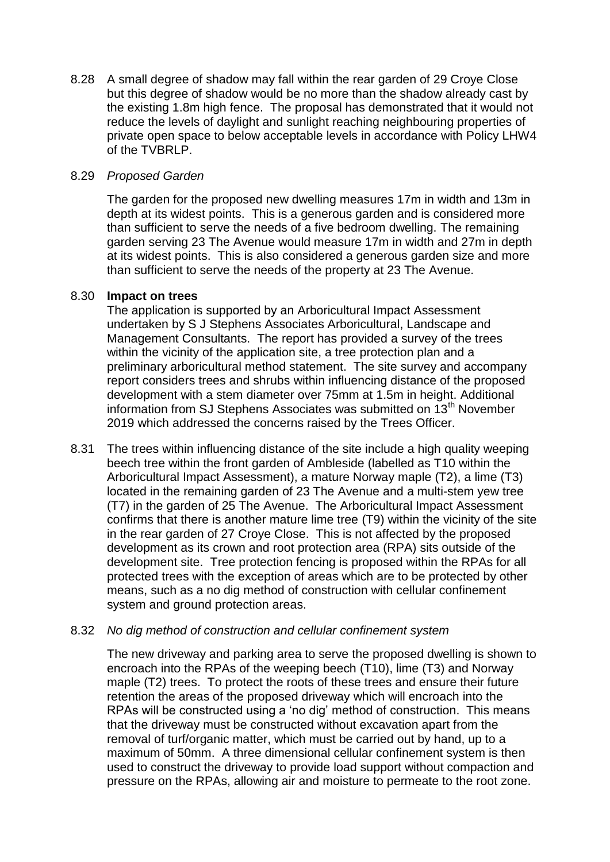8.28 A small degree of shadow may fall within the rear garden of 29 Croye Close but this degree of shadow would be no more than the shadow already cast by the existing 1.8m high fence. The proposal has demonstrated that it would not reduce the levels of daylight and sunlight reaching neighbouring properties of private open space to below acceptable levels in accordance with Policy LHW4 of the TVBRLP.

### 8.29 *Proposed Garden*

The garden for the proposed new dwelling measures 17m in width and 13m in depth at its widest points. This is a generous garden and is considered more than sufficient to serve the needs of a five bedroom dwelling. The remaining garden serving 23 The Avenue would measure 17m in width and 27m in depth at its widest points. This is also considered a generous garden size and more than sufficient to serve the needs of the property at 23 The Avenue.

#### 8.30 **Impact on trees**

The application is supported by an Arboricultural Impact Assessment undertaken by S J Stephens Associates Arboricultural, Landscape and Management Consultants. The report has provided a survey of the trees within the vicinity of the application site, a tree protection plan and a preliminary arboricultural method statement. The site survey and accompany report considers trees and shrubs within influencing distance of the proposed development with a stem diameter over 75mm at 1.5m in height. Additional information from SJ Stephens Associates was submitted on 13<sup>th</sup> November 2019 which addressed the concerns raised by the Trees Officer.

8.31 The trees within influencing distance of the site include a high quality weeping beech tree within the front garden of Ambleside (labelled as T10 within the Arboricultural Impact Assessment), a mature Norway maple (T2), a lime (T3) located in the remaining garden of 23 The Avenue and a multi-stem yew tree (T7) in the garden of 25 The Avenue. The Arboricultural Impact Assessment confirms that there is another mature lime tree (T9) within the vicinity of the site in the rear garden of 27 Croye Close. This is not affected by the proposed development as its crown and root protection area (RPA) sits outside of the development site. Tree protection fencing is proposed within the RPAs for all protected trees with the exception of areas which are to be protected by other means, such as a no dig method of construction with cellular confinement system and ground protection areas.

### 8.32 *No dig method of construction and cellular confinement system*

The new driveway and parking area to serve the proposed dwelling is shown to encroach into the RPAs of the weeping beech (T10), lime (T3) and Norway maple (T2) trees. To protect the roots of these trees and ensure their future retention the areas of the proposed driveway which will encroach into the RPAs will be constructed using a 'no dig' method of construction. This means that the driveway must be constructed without excavation apart from the removal of turf/organic matter, which must be carried out by hand, up to a maximum of 50mm. A three dimensional cellular confinement system is then used to construct the driveway to provide load support without compaction and pressure on the RPAs, allowing air and moisture to permeate to the root zone.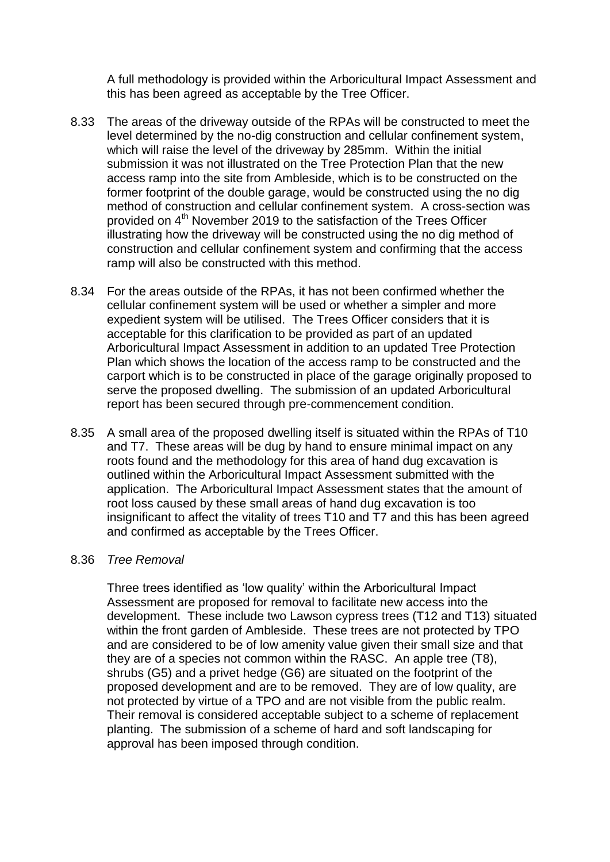A full methodology is provided within the Arboricultural Impact Assessment and this has been agreed as acceptable by the Tree Officer.

- 8.33 The areas of the driveway outside of the RPAs will be constructed to meet the level determined by the no-dig construction and cellular confinement system, which will raise the level of the driveway by 285mm. Within the initial submission it was not illustrated on the Tree Protection Plan that the new access ramp into the site from Ambleside, which is to be constructed on the former footprint of the double garage, would be constructed using the no dig method of construction and cellular confinement system. A cross-section was provided on 4<sup>th</sup> November 2019 to the satisfaction of the Trees Officer illustrating how the driveway will be constructed using the no dig method of construction and cellular confinement system and confirming that the access ramp will also be constructed with this method.
- 8.34 For the areas outside of the RPAs, it has not been confirmed whether the cellular confinement system will be used or whether a simpler and more expedient system will be utilised. The Trees Officer considers that it is acceptable for this clarification to be provided as part of an updated Arboricultural Impact Assessment in addition to an updated Tree Protection Plan which shows the location of the access ramp to be constructed and the carport which is to be constructed in place of the garage originally proposed to serve the proposed dwelling. The submission of an updated Arboricultural report has been secured through pre-commencement condition.
- 8.35 A small area of the proposed dwelling itself is situated within the RPAs of T10 and T7. These areas will be dug by hand to ensure minimal impact on any roots found and the methodology for this area of hand dug excavation is outlined within the Arboricultural Impact Assessment submitted with the application. The Arboricultural Impact Assessment states that the amount of root loss caused by these small areas of hand dug excavation is too insignificant to affect the vitality of trees T10 and T7 and this has been agreed and confirmed as acceptable by the Trees Officer.

#### 8.36 *Tree Removal*

Three trees identified as 'low quality' within the Arboricultural Impact Assessment are proposed for removal to facilitate new access into the development. These include two Lawson cypress trees (T12 and T13) situated within the front garden of Ambleside. These trees are not protected by TPO and are considered to be of low amenity value given their small size and that they are of a species not common within the RASC. An apple tree (T8), shrubs (G5) and a privet hedge (G6) are situated on the footprint of the proposed development and are to be removed. They are of low quality, are not protected by virtue of a TPO and are not visible from the public realm. Their removal is considered acceptable subject to a scheme of replacement planting. The submission of a scheme of hard and soft landscaping for approval has been imposed through condition.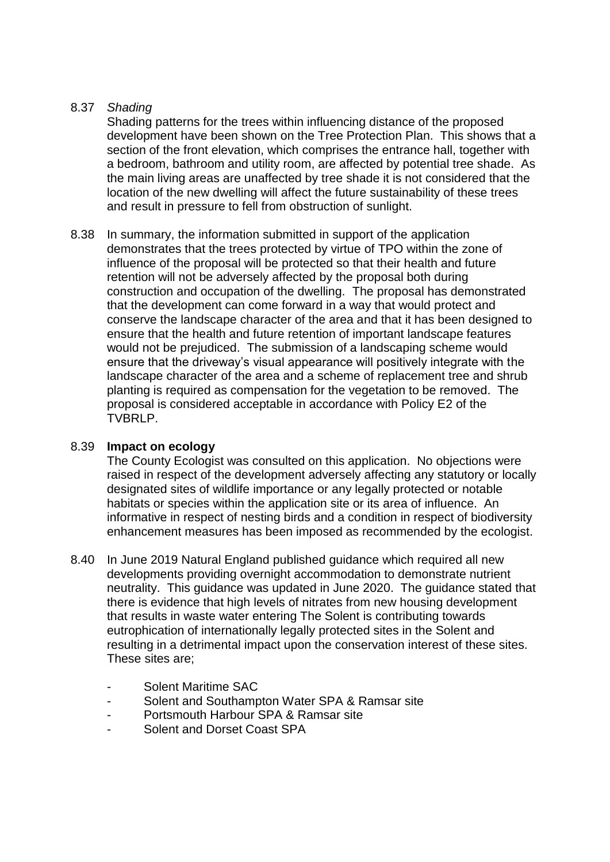# 8.37 *Shading*

Shading patterns for the trees within influencing distance of the proposed development have been shown on the Tree Protection Plan. This shows that a section of the front elevation, which comprises the entrance hall, together with a bedroom, bathroom and utility room, are affected by potential tree shade. As the main living areas are unaffected by tree shade it is not considered that the location of the new dwelling will affect the future sustainability of these trees and result in pressure to fell from obstruction of sunlight.

8.38 In summary, the information submitted in support of the application demonstrates that the trees protected by virtue of TPO within the zone of influence of the proposal will be protected so that their health and future retention will not be adversely affected by the proposal both during construction and occupation of the dwelling. The proposal has demonstrated that the development can come forward in a way that would protect and conserve the landscape character of the area and that it has been designed to ensure that the health and future retention of important landscape features would not be prejudiced. The submission of a landscaping scheme would ensure that the driveway's visual appearance will positively integrate with the landscape character of the area and a scheme of replacement tree and shrub planting is required as compensation for the vegetation to be removed. The proposal is considered acceptable in accordance with Policy E2 of the TVBRLP.

### 8.39 **Impact on ecology**

The County Ecologist was consulted on this application. No objections were raised in respect of the development adversely affecting any statutory or locally designated sites of wildlife importance or any legally protected or notable habitats or species within the application site or its area of influence. An informative in respect of nesting birds and a condition in respect of biodiversity enhancement measures has been imposed as recommended by the ecologist.

- 8.40 In June 2019 Natural England published guidance which required all new developments providing overnight accommodation to demonstrate nutrient neutrality. This guidance was updated in June 2020. The guidance stated that there is evidence that high levels of nitrates from new housing development that results in waste water entering The Solent is contributing towards eutrophication of internationally legally protected sites in the Solent and resulting in a detrimental impact upon the conservation interest of these sites. These sites are;
	- Solent Maritime SAC
	- Solent and Southampton Water SPA & Ramsar site
	- Portsmouth Harbour SPA & Ramsar site
	- Solent and Dorset Coast SPA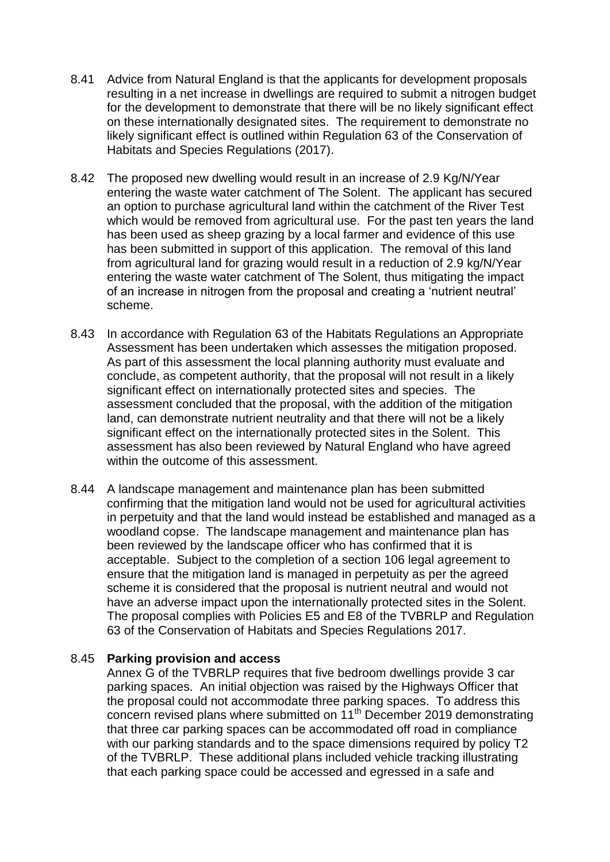- 8.41 Advice from Natural England is that the applicants for development proposals resulting in a net increase in dwellings are required to submit a nitrogen budget for the development to demonstrate that there will be no likely significant effect on these internationally designated sites. The requirement to demonstrate no likely significant effect is outlined within Regulation 63 of the Conservation of Habitats and Species Regulations (2017).
- 8.42 The proposed new dwelling would result in an increase of 2.9 Kg/N/Year entering the waste water catchment of The Solent. The applicant has secured an option to purchase agricultural land within the catchment of the River Test which would be removed from agricultural use. For the past ten years the land has been used as sheep grazing by a local farmer and evidence of this use has been submitted in support of this application. The removal of this land from agricultural land for grazing would result in a reduction of 2.9 kg/N/Year entering the waste water catchment of The Solent, thus mitigating the impact of an increase in nitrogen from the proposal and creating a 'nutrient neutral' scheme.
- 8.43 In accordance with Regulation 63 of the Habitats Regulations an Appropriate Assessment has been undertaken which assesses the mitigation proposed. As part of this assessment the local planning authority must evaluate and conclude, as competent authority, that the proposal will not result in a likely significant effect on internationally protected sites and species. The assessment concluded that the proposal, with the addition of the mitigation land, can demonstrate nutrient neutrality and that there will not be a likely significant effect on the internationally protected sites in the Solent. This assessment has also been reviewed by Natural England who have agreed within the outcome of this assessment.
- 8.44 A landscape management and maintenance plan has been submitted confirming that the mitigation land would not be used for agricultural activities in perpetuity and that the land would instead be established and managed as a woodland copse. The landscape management and maintenance plan has been reviewed by the landscape officer who has confirmed that it is acceptable. Subject to the completion of a section 106 legal agreement to ensure that the mitigation land is managed in perpetuity as per the agreed scheme it is considered that the proposal is nutrient neutral and would not have an adverse impact upon the internationally protected sites in the Solent. The proposal complies with Policies E5 and E8 of the TVBRLP and Regulation 63 of the Conservation of Habitats and Species Regulations 2017.

### 8.45 **Parking provision and access**

Annex G of the TVBRLP requires that five bedroom dwellings provide 3 car parking spaces. An initial objection was raised by the Highways Officer that the proposal could not accommodate three parking spaces. To address this concern revised plans where submitted on 11<sup>th</sup> December 2019 demonstrating that three car parking spaces can be accommodated off road in compliance with our parking standards and to the space dimensions required by policy T2 of the TVBRLP. These additional plans included vehicle tracking illustrating that each parking space could be accessed and egressed in a safe and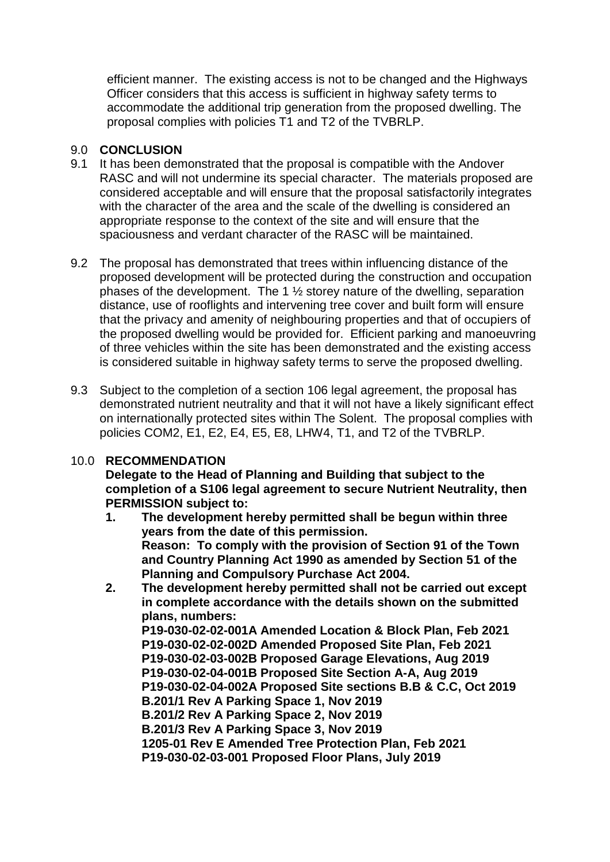efficient manner. The existing access is not to be changed and the Highways Officer considers that this access is sufficient in highway safety terms to accommodate the additional trip generation from the proposed dwelling. The proposal complies with policies T1 and T2 of the TVBRLP.

# 9.0 **CONCLUSION**

- 9.1 It has been demonstrated that the proposal is compatible with the Andover RASC and will not undermine its special character. The materials proposed are considered acceptable and will ensure that the proposal satisfactorily integrates with the character of the area and the scale of the dwelling is considered an appropriate response to the context of the site and will ensure that the spaciousness and verdant character of the RASC will be maintained.
- 9.2 The proposal has demonstrated that trees within influencing distance of the proposed development will be protected during the construction and occupation phases of the development. The 1 ½ storey nature of the dwelling, separation distance, use of rooflights and intervening tree cover and built form will ensure that the privacy and amenity of neighbouring properties and that of occupiers of the proposed dwelling would be provided for. Efficient parking and manoeuvring of three vehicles within the site has been demonstrated and the existing access is considered suitable in highway safety terms to serve the proposed dwelling.
- 9.3 Subject to the completion of a section 106 legal agreement, the proposal has demonstrated nutrient neutrality and that it will not have a likely significant effect on internationally protected sites within The Solent. The proposal complies with policies COM2, E1, E2, E4, E5, E8, LHW4, T1, and T2 of the TVBRLP.

# 10.0 **RECOMMENDATION**

**Delegate to the Head of Planning and Building that subject to the completion of a S106 legal agreement to secure Nutrient Neutrality, then PERMISSION subject to:**

- **1. The development hereby permitted shall be begun within three years from the date of this permission. Reason: To comply with the provision of Section 91 of the Town and Country Planning Act 1990 as amended by Section 51 of the Planning and Compulsory Purchase Act 2004.**
- **2. The development hereby permitted shall not be carried out except in complete accordance with the details shown on the submitted plans, numbers:**

**P19-030-02-02-001A Amended Location & Block Plan, Feb 2021 P19-030-02-02-002D Amended Proposed Site Plan, Feb 2021 P19-030-02-03-002B Proposed Garage Elevations, Aug 2019 P19-030-02-04-001B Proposed Site Section A-A, Aug 2019 P19-030-02-04-002A Proposed Site sections B.B & C.C, Oct 2019 B.201/1 Rev A Parking Space 1, Nov 2019 B.201/2 Rev A Parking Space 2, Nov 2019 B.201/3 Rev A Parking Space 3, Nov 2019 1205-01 Rev E Amended Tree Protection Plan, Feb 2021 P19-030-02-03-001 Proposed Floor Plans, July 2019**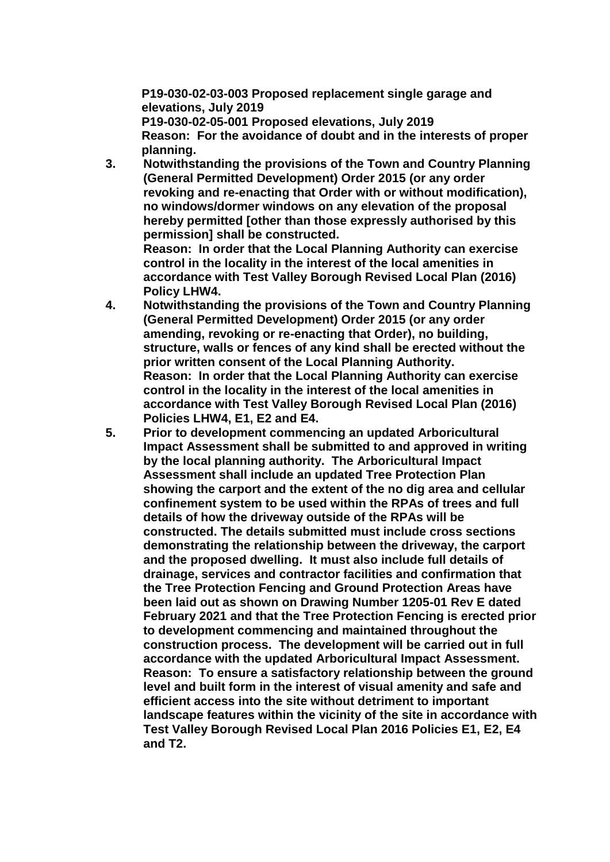**P19-030-02-03-003 Proposed replacement single garage and elevations, July 2019**

**P19-030-02-05-001 Proposed elevations, July 2019 Reason: For the avoidance of doubt and in the interests of proper planning.**

**3. Notwithstanding the provisions of the Town and Country Planning (General Permitted Development) Order 2015 (or any order revoking and re-enacting that Order with or without modification), no windows/dormer windows on any elevation of the proposal hereby permitted [other than those expressly authorised by this permission] shall be constructed.**

**Reason: In order that the Local Planning Authority can exercise control in the locality in the interest of the local amenities in accordance with Test Valley Borough Revised Local Plan (2016) Policy LHW4.**

- **4. Notwithstanding the provisions of the Town and Country Planning (General Permitted Development) Order 2015 (or any order amending, revoking or re-enacting that Order), no building, structure, walls or fences of any kind shall be erected without the prior written consent of the Local Planning Authority. Reason: In order that the Local Planning Authority can exercise control in the locality in the interest of the local amenities in accordance with Test Valley Borough Revised Local Plan (2016) Policies LHW4, E1, E2 and E4.**
- **5. Prior to development commencing an updated Arboricultural Impact Assessment shall be submitted to and approved in writing by the local planning authority. The Arboricultural Impact Assessment shall include an updated Tree Protection Plan showing the carport and the extent of the no dig area and cellular confinement system to be used within the RPAs of trees and full details of how the driveway outside of the RPAs will be constructed. The details submitted must include cross sections demonstrating the relationship between the driveway, the carport and the proposed dwelling. It must also include full details of drainage, services and contractor facilities and confirmation that the Tree Protection Fencing and Ground Protection Areas have been laid out as shown on Drawing Number 1205-01 Rev E dated February 2021 and that the Tree Protection Fencing is erected prior to development commencing and maintained throughout the construction process. The development will be carried out in full accordance with the updated Arboricultural Impact Assessment. Reason: To ensure a satisfactory relationship between the ground level and built form in the interest of visual amenity and safe and efficient access into the site without detriment to important landscape features within the vicinity of the site in accordance with Test Valley Borough Revised Local Plan 2016 Policies E1, E2, E4 and T2.**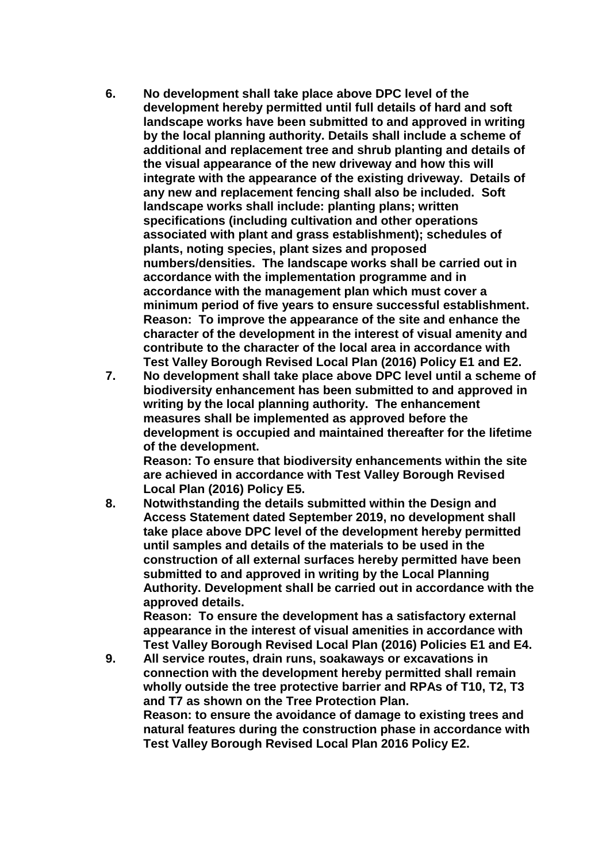- **6. No development shall take place above DPC level of the development hereby permitted until full details of hard and soft landscape works have been submitted to and approved in writing by the local planning authority. Details shall include a scheme of additional and replacement tree and shrub planting and details of the visual appearance of the new driveway and how this will integrate with the appearance of the existing driveway. Details of any new and replacement fencing shall also be included. Soft landscape works shall include: planting plans; written specifications (including cultivation and other operations associated with plant and grass establishment); schedules of plants, noting species, plant sizes and proposed numbers/densities. The landscape works shall be carried out in accordance with the implementation programme and in accordance with the management plan which must cover a minimum period of five years to ensure successful establishment. Reason: To improve the appearance of the site and enhance the character of the development in the interest of visual amenity and contribute to the character of the local area in accordance with Test Valley Borough Revised Local Plan (2016) Policy E1 and E2.**
- **7. No development shall take place above DPC level until a scheme of biodiversity enhancement has been submitted to and approved in writing by the local planning authority. The enhancement measures shall be implemented as approved before the development is occupied and maintained thereafter for the lifetime of the development.**

**Reason: To ensure that biodiversity enhancements within the site are achieved in accordance with Test Valley Borough Revised Local Plan (2016) Policy E5.** 

**8. Notwithstanding the details submitted within the Design and Access Statement dated September 2019, no development shall take place above DPC level of the development hereby permitted until samples and details of the materials to be used in the construction of all external surfaces hereby permitted have been submitted to and approved in writing by the Local Planning Authority. Development shall be carried out in accordance with the approved details.**

**Reason: To ensure the development has a satisfactory external appearance in the interest of visual amenities in accordance with Test Valley Borough Revised Local Plan (2016) Policies E1 and E4.**

**9. All service routes, drain runs, soakaways or excavations in connection with the development hereby permitted shall remain wholly outside the tree protective barrier and RPAs of T10, T2, T3 and T7 as shown on the Tree Protection Plan. Reason: to ensure the avoidance of damage to existing trees and natural features during the construction phase in accordance with Test Valley Borough Revised Local Plan 2016 Policy E2.**